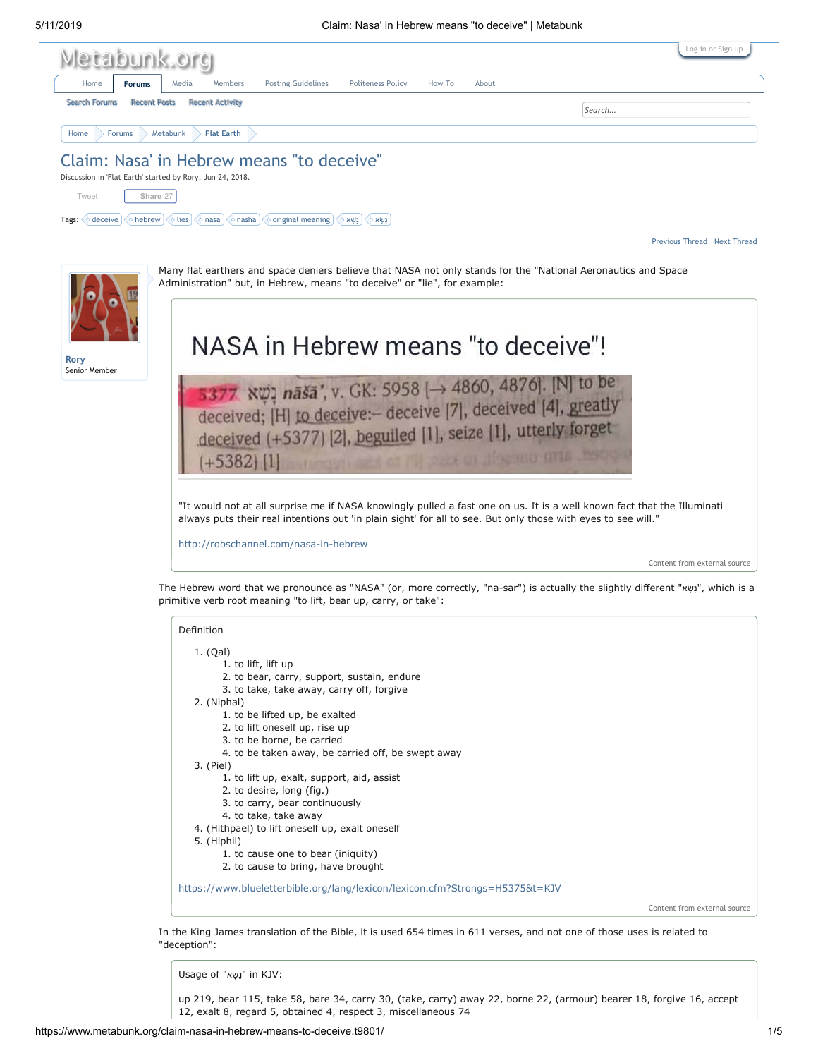

- 1. to cause one to bear (iniquity)
- 2. to cause to bring, have brought

<https://www.blueletterbible.org/lang/lexicon/lexicon.cfm?Strongs=H5375&t=KJV>

Content from external source

In the King James translation of the Bible, it is used 654 times in 611 verses, and not one of those uses is related to "deception":

Usage of "נָשָׂא" in KJV:

up 219, bear 115, take 58, bare 34, carry 30, (take, carry) away 22, borne 22, (armour) bearer 18, forgive 16, accept 12, exalt 8, regard 5, obtained 4, respect 3, miscellaneous 74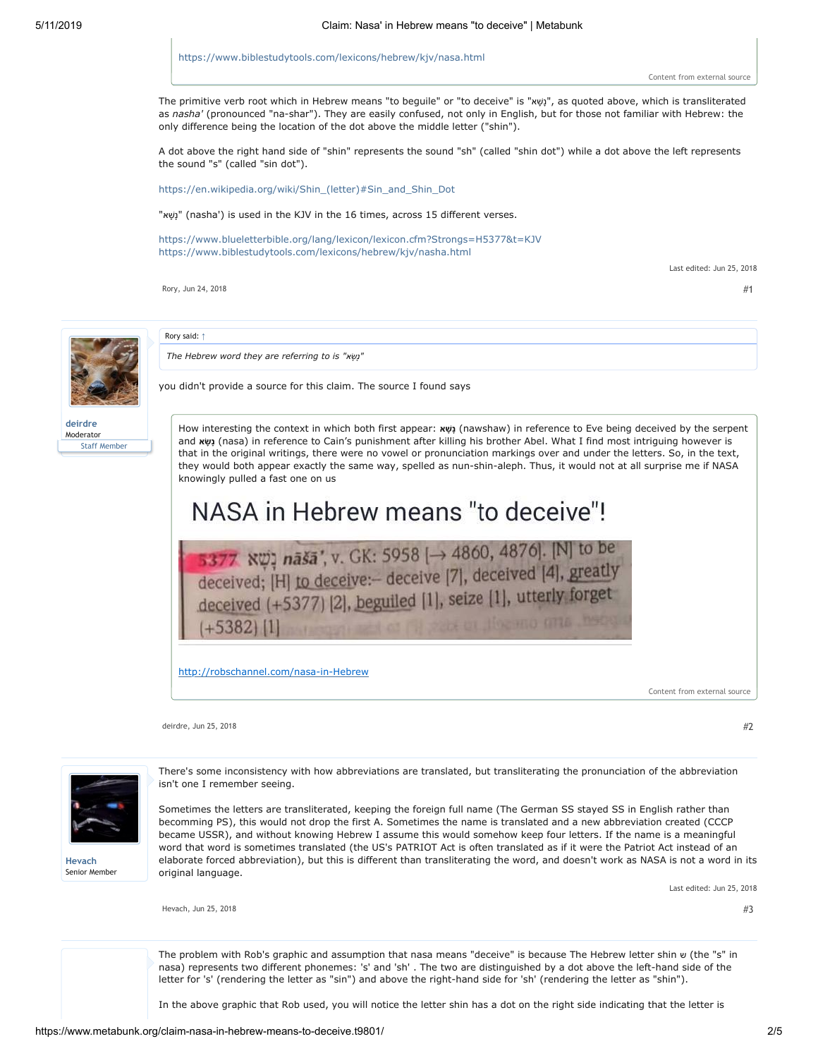<https://www.biblestudytools.com/lexicons/hebrew/kjv/nasa.html>

The primitive verb root which in Hebrew means "to beguile" or "to deceive" is "שׁאָ ָנ", as quoted above, which is transliterated as *nasha'* (pronounced "na-shar"). They are easily confused, not only in English, but for those not familiar with Hebrew: the only difference being the location of the dot above the middle letter ("shin").

A dot above the right hand side of "shin" represents the sound "sh" (called "shin dot") while a dot above the left represents the sound "s" (called "sin dot").

[https://en.wikipedia.org/wiki/Shin\\_\(letter\)#Sin\\_and\\_Shin\\_Dot](https://en.wikipedia.org/wiki/Shin_(letter)#Sin_and_Shin_Dot)

"נָשָא<sup>"</sup> (nasha') is used in the KJV in the 16 times, across 15 different verses.

<https://www.blueletterbible.org/lang/lexicon/lexicon.cfm?Strongs=H5377&t=KJV> <https://www.biblestudytools.com/lexicons/hebrew/kjv/nasha.html>

Last edited: Jun 25, 2018

[Rory,](https://www.metabunk.org/members/rory.8199/) [Jun 24, 2018](https://www.metabunk.org/posts/223299/)  $#1$ 



Rory said: [↑](https://www.metabunk.org/goto/post?id=223299#post-223299)

*The Hebrew word they are referring to is "שׂאָ ָנ"*

you didn't provide a source for this claim. The source I found says

**[deirdre](https://www.metabunk.org/members/deirdre.3222/)** Moderator Staff Member

How interesting the context in which both first appear: **שׁאָ נָ**) nawshaw) in reference to Eve being deceived by the serpent and **שׂאָ נָ**) nasa) in reference to Cain's punishment after killing his brother Abel. What I find most intriguing however is that in the original writings, there were no vowel or pronunciation markings over and under the letters. So, in the text, they would both appear exactly the same way, spelled as nun-shin-aleph. Thus, it would not at all surprise me if NASA knowingly pulled a fast one on us

# NASA in Hebrew means "to deceive"!

**5377** RO<sub>7</sub> naša', v. GK: 5958 [ $\rightarrow$  4860, 4876]. [N] to be deceived; [H] to deceive: deceive [7], deceived [4], greatly deceived (+5377) [2], beguiled [1], seize [1], utterly forget  $+5382$ | 1

[http://robschannel.com/nasa-in-Hebrew](http://robschannel.com/nasa-in-hebrew)

Content from external source

[deirdre](https://www.metabunk.org/members/deirdre.3222/), [Jun 25, 2018](https://www.metabunk.org/posts/223311/)  $\#2$  $\#2$ 



**[Hevach](https://www.metabunk.org/members/hevach.4865/)** Senior Member There's some inconsistency with how abbreviations are translated, but transliterating the pronunciation of the abbreviation isn't one I remember seeing.

Sometimes the letters are transliterated, keeping the foreign full name (The German SS stayed SS in English rather than becomming PS), this would not drop the first A. Sometimes the name is translated and a new abbreviation created (CCCP became USSR), and without knowing Hebrew I assume this would somehow keep four letters. If the name is a meaningful word that word is sometimes translated (the US's PATRIOT Act is often translated as if it were the Patriot Act instead of an elaborate forced abbreviation), but this is different than transliterating the word, and doesn't work as NASA is not a word in its original language.

Last edited: Jun 25, 2018

[Hevach](https://www.metabunk.org/members/hevach.4865/), [Jun 25, 2018](https://www.metabunk.org/posts/223317/)  $#3$ 

The problem with Rob's graphic and assumption that nasa means "deceive" is because The Hebrew letter shin ש) the "s" in nasa) represents two different phonemes: 's' and 'sh' . The two are distinguished by a dot above the left-hand side of the letter for 's' (rendering the letter as "sin") and above the right-hand side for 'sh' (rendering the letter as "shin").

In the above graphic that Rob used, you will notice the letter shin has a dot on the right side indicating that the letter is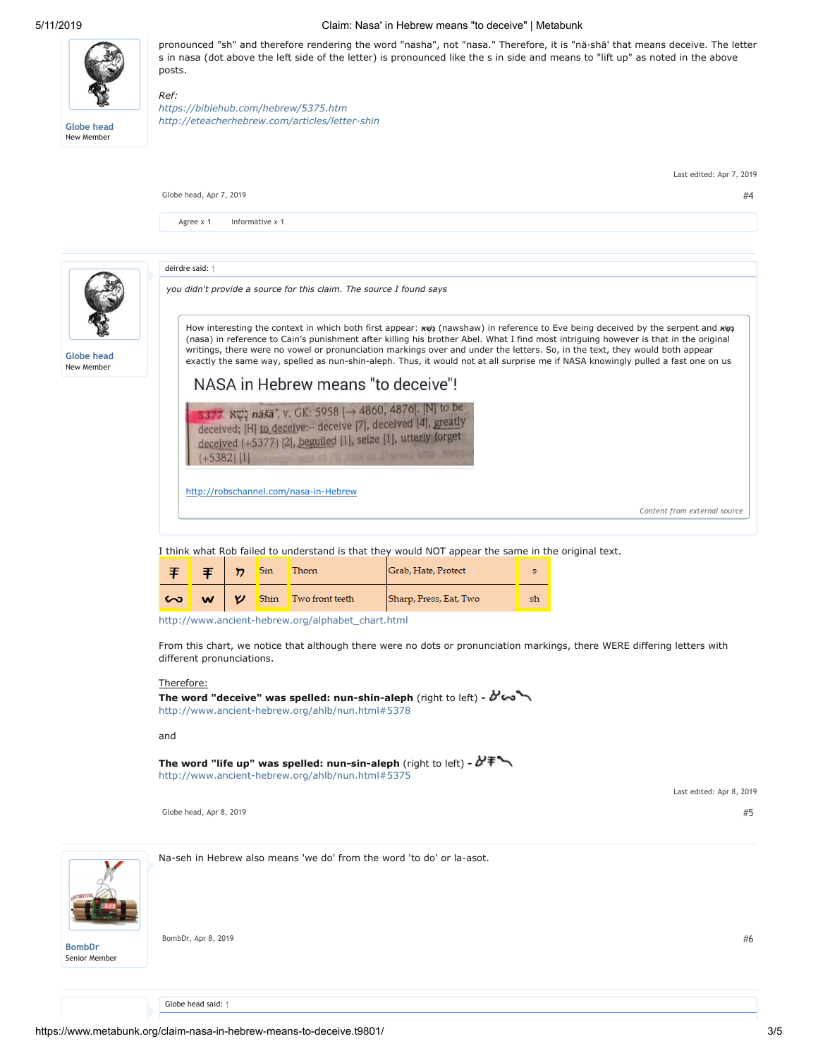

*Ref:*

**[Globe head](https://www.metabunk.org/members/globe-head.10080/)** New Member

New Member

### 5/11/2019 Claim: Nasa' in Hebrew means "to deceive" | Metabunk

pronounced "sh" and therefore rendering the word "nasha", not "nasa." Therefore, it is "nä·shä' that means deceive. The letter s in nasa (dot above the left side of the letter) is pronounced like the s in side and means to "lift up" as noted in the above posts.

*<https://biblehub.com/hebrew/5375.htm> <http://eteacherhebrew.com/articles/letter-shin>*



I think what Rob failed to understand is that they would NOT appear the same in the original text.

|        |          |   | <b>Sin</b> | Thorn                | Grab, Hate, Protect    |    |
|--------|----------|---|------------|----------------------|------------------------|----|
| $\sim$ | <b>W</b> | v |            | Shin Two front teeth | Sharp, Press, Eat, Two | sh |

[http://www.ancient-hebrew.org/alphabet\\_chart.html](http://www.ancient-hebrew.org/alphabet_chart.html)

From this chart, we notice that although there were no dots or pronunciation markings, there WERE differing letters with different pronunciations.

## Therefore:

**The word "deceive" was spelled: nun-shin-aleph** (right to left) <http://www.ancient-hebrew.org/ahlb/nun.html#5378>

and

**The word "life up" was spelled: nun-sin-aleph** (right to left)  <http://www.ancient-hebrew.org/ahlb/nun.html#5375>

[Globe head](https://www.metabunk.org/members/globe-head.10080/), [Apr 8, 2019](https://www.metabunk.org/posts/230121/)  $\#5$  $\#5$ 



**[BombDr](https://www.metabunk.org/members/bombdr.1905/)** Senior Member Na-seh in Hebrew also means 'we do' from the word 'to do' or la-asot.

 $\n **BombDr, Apr 8, 2019**\n #6$  $\n **BombDr, Apr 8, 2019**\n #6$  $\n **BombDr, Apr 8, 2019**\n #6$  $\n **BombDr, Apr 8, 2019**\n #6$  $\n **BombDr, Apr 8, 2019**\n #6$  $\n **BombDr, Apr 8, 2019**\n #6$ 

Last edited: Apr 8, 2019

Globe head said: [↑](https://www.metabunk.org/goto/post?id=230121#post-230121)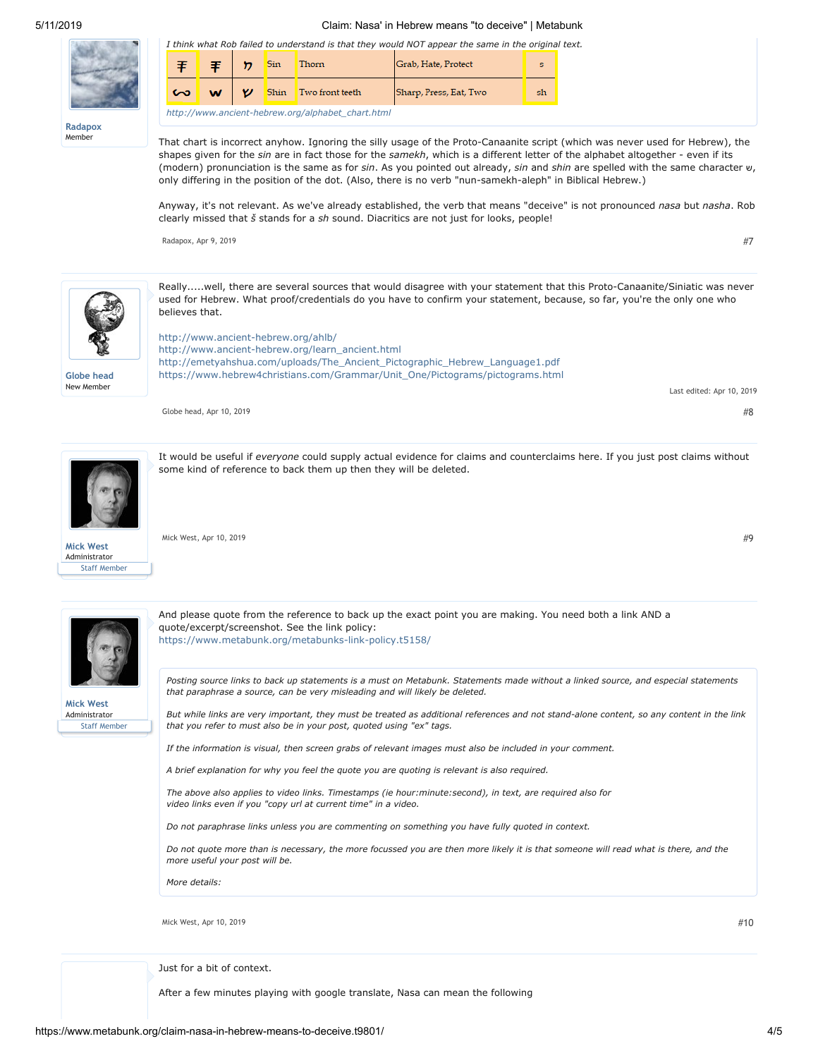#### 5/11/2019 Claim: Nasa' in Hebrew means "to deceive" | Metabunk

|       |  |  | <b>Thorn</b>                                      | I think what Rob failed to understand is that they would NOT appear the same in the original text.<br>Grab, Hate, Protect |    |
|-------|--|--|---------------------------------------------------|---------------------------------------------------------------------------------------------------------------------------|----|
|       |  |  | Two front teeth                                   | Sharp, Press, Eat, Two                                                                                                    | sh |
| dapox |  |  | http://www.ancient-hebrew.org/alphabet_chart.html |                                                                                                                           |    |

**[Radapox](https://www.metabunk.org/members/radapox.7355/)** Member

That chart is incorrect anyhow. Ignoring the silly usage of the Proto-Canaanite script (which was never used for Hebrew), the shapes given for the *sin* are in fact those for the *samekh*, which is a different letter of the alphabet altogether - even if its (modern) pronunciation is the same as for *sin*. As you pointed out already, *sin* and *shin* are spelled with the same character ש, only differing in the position of the dot. (Also, there is no verb "nun-samekh-aleph" in Biblical Hebrew.)

Anyway, it's not relevant. As we've already established, the verb that means "deceive" is not pronounced *nasa* but *nasha*. Rob clearly missed that *š* stands for a *sh* sound. Diacritics are not just for looks, people!

[Radapox](https://www.metabunk.org/members/radapox.7355/), [Apr 9, 2019](https://www.metabunk.org/posts/230153/)  $\#7$  $\#7$ 

Last edited: Apr 10, 2019



Really.....well, there are several sources that would disagree with your statement that this Proto-Canaanite/Siniatic was never used for Hebrew. What proof/credentials do you have to confirm your statement, because, so far, you're the only one who believes that.

**[Globe head](https://www.metabunk.org/members/globe-head.10080/)** New Member

<http://www.ancient-hebrew.org/ahlb/> [http://www.ancient-hebrew.org/learn\\_ancient.html](http://www.ancient-hebrew.org/learn_ancient.html) [http://emetyahshua.com/uploads/The\\_Ancient\\_Pictographic\\_Hebrew\\_Language1.pdf](http://emetyahshua.com/uploads/The_Ancient_Pictographic_Hebrew_Language1.pdf) [https://www.hebrew4christians.com/Grammar/Unit\\_One/Pictograms/pictograms.html](https://www.hebrew4christians.com/Grammar/Unit_One/Pictograms/pictograms.html)

[Globe head](https://www.metabunk.org/members/globe-head.10080/), [Apr 10, 2019](https://www.metabunk.org/posts/230161/)  $#8$ 

It would be useful if *everyone* could supply actual evidence for claims and counterclaims here. If you just post claims without some kind of reference to back them up then they will be deleted.



Staff Member

[Mick West,](https://www.metabunk.org/members/mick-west.1/) [Apr 10, 2019](https://www.metabunk.org/posts/230162/)  $\#9$  $\#9$ 

quote/excerpt/screenshot. See the link policy:

<https://www.metabunk.org/metabunks-link-policy.t5158/>

*that you refer to must also be in your post, quoted using "ex" tags.*



Staff Member

**[Mick West](https://www.metabunk.org/members/mick-west.1/)** Administrator *Posting source links to back up statements is a must on Metabunk. Statements made without a linked source, and especial statements that paraphrase a source, can be very misleading and will likely be deleted.*

*But while links are very important, they must be treated as additional references and not stand-alone content, so any content in the link*

*If the information is visual, then screen grabs of relevant images must also be included in your comment.*

And please quote from the reference to back up the exact point you are making. You need both a link AND a

*A brief explanation for why you feel the quote you are quoting is relevant is also required.*

*The above also applies to video links. Timestamps (ie hour:minute:second), in text, are required also for video links even if you "copy url at current time" in a video.*

*Do not paraphrase links unless you are commenting on something you have fully quoted in context.*

*Do not quote more than is necessary, the more focussed you are then more likely it is that someone will read what is there, and the more useful your post will be.*

*More details:*

[Mick West,](https://www.metabunk.org/members/mick-west.1/) [Apr 10, 2019](https://www.metabunk.org/posts/230165/)  $#10$ 

Just for a bit of context.

After a few minutes playing with google translate, Nasa can mean the following